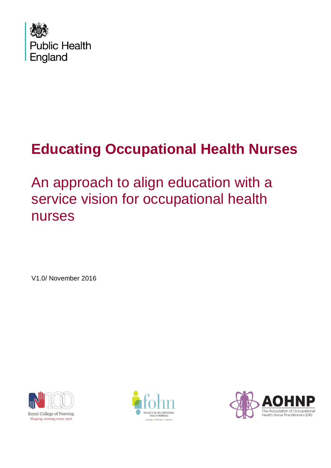

An approach to align education with a service vision for occupational health nurses

V1.0/ November 2016





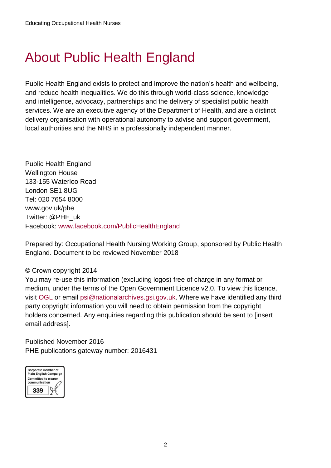## <span id="page-1-0"></span>About Public Health England

Public Health England exists to protect and improve the nation's health and wellbeing, and reduce health inequalities. We do this through world-class science, knowledge and intelligence, advocacy, partnerships and the delivery of specialist public health services. We are an executive agency of the Department of Health, and are a distinct delivery organisation with operational autonomy to advise and support government, local authorities and the NHS in a professionally independent manner.

Public Health England Wellington House 133-155 Waterloo Road London SE1 8UG Tel: 020 7654 8000 [www.gov.uk/phe](http://www.gov.uk/phe) Twitter: [@PHE\\_uk](https://twitter.com/PHE_uk) Facebook: [www.facebook.com/PublicHealthEngland](http://www.facebook.com/PublicHealthEngland)

Prepared by: Occupational Health Nursing Working Group, sponsored by Public Health England. Document to be reviewed November 2018

#### © Crown copyright 2014

You may re-use this information (excluding logos) free of charge in any format or medium, under the terms of the Open Government Licence v2.0. To view this licence, visit [OGL](https://www.nationalarchives.gov.uk/doc/open-government-licence/version/2/) or email [psi@nationalarchives.gsi.gov.uk.](mailto:psi@nationalarchives.gsi.gov.uk) Where we have identified any third party copyright information you will need to obtain permission from the copyright holders concerned. Any enquiries regarding this publication should be sent to linsert email address].

Published November 2016 PHE publications gateway number: 2016431

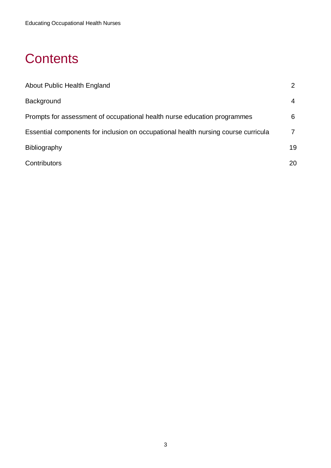## **Contents**

<span id="page-2-0"></span>

| About Public Health England                                                        |    |
|------------------------------------------------------------------------------------|----|
| <b>Background</b>                                                                  | 4  |
| Prompts for assessment of occupational health nurse education programmes           | 6  |
| Essential components for inclusion on occupational health nursing course curricula |    |
| <b>Bibliography</b>                                                                | 19 |
| Contributors                                                                       | 20 |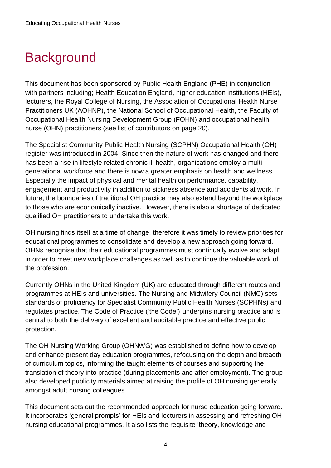## **Background**

This document has been sponsored by Public Health England (PHE) in conjunction with partners including; Health Education England, higher education institutions (HEIs), lecturers, the Royal College of Nursing, the Association of Occupational Health Nurse Practitioners UK (AOHNP), the National School of Occupational Health, the Faculty of Occupational Health Nursing Development Group (FOHN) and occupational health nurse (OHN) practitioners (see list of contributors on page 20).

The Specialist Community Public Health Nursing (SCPHN) Occupational Health (OH) register was introduced in 2004. Since then the nature of work has changed and there has been a rise in lifestyle related chronic ill health, organisations employ a multigenerational workforce and there is now a greater emphasis on health and wellness. Especially the impact of physical and mental health on performance, capability, engagement and productivity in addition to sickness absence and accidents at work. In future, the boundaries of traditional OH practice may also extend beyond the workplace to those who are economically inactive. However, there is also a shortage of dedicated qualified OH practitioners to undertake this work.

OH nursing finds itself at a time of change, therefore it was timely to review priorities for educational programmes to consolidate and develop a new approach going forward. OHNs recognise that their educational programmes must continually evolve and adapt in order to meet new workplace challenges as well as to continue the valuable work of the profession.

Currently OHNs in the United Kingdom (UK) are educated through different routes and programmes at HEIs and universities. The Nursing and Midwifery Council (NMC) sets standards of proficiency for Specialist Community Public Health Nurses (SCPHNs) and regulates practice. The Code of Practice ('the Code') underpins nursing practice and is central to both the delivery of excellent and auditable practice and effective public protection.

The OH Nursing Working Group (OHNWG) was established to define how to develop and enhance present day education programmes, refocusing on the depth and breadth of curriculum topics, informing the taught elements of courses and supporting the translation of theory into practice (during placements and after employment). The group also developed publicity materials aimed at raising the profile of OH nursing generally amongst adult nursing colleagues.

This document sets out the recommended approach for nurse education going forward. It incorporates 'general prompts' for HEIs and lecturers in assessing and refreshing OH nursing educational programmes. It also lists the requisite 'theory, knowledge and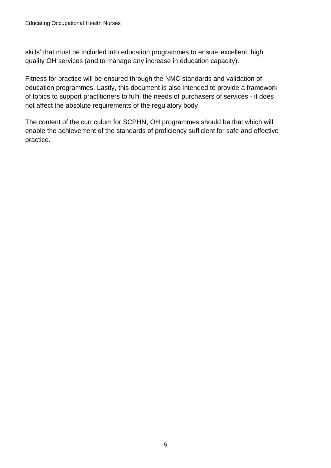skills' that must be included into education programmes to ensure excellent, high quality OH services (and to manage any increase in education capacity).

Fitness for practice will be ensured through the NMC standards and validation of education programmes. Lastly, this document is also intended to provide a framework of topics to support practitioners to fulfil the needs of purchasers of services - it does not affect the absolute requirements of the regulatory body.

The content of the curriculum for SCPHN, OH programmes should be that which will enable the achievement of the standards of proficiency sufficient for safe and effective practice.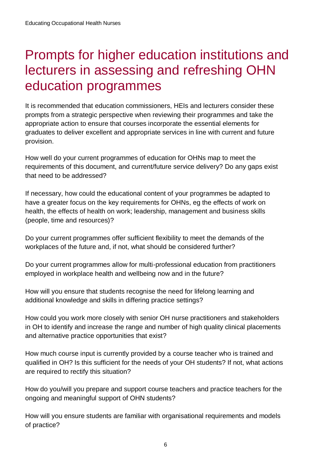## Prompts for higher education institutions and lecturers in assessing and refreshing OHN education programmes

It is recommended that education commissioners, HEIs and lecturers consider these prompts from a strategic perspective when reviewing their programmes and take the appropriate action to ensure that courses incorporate the essential elements for graduates to deliver excellent and appropriate services in line with current and future provision.

How well do your current programmes of education for OHNs map to meet the requirements of this document, and current/future service delivery? Do any gaps exist that need to be addressed?

If necessary, how could the educational content of your programmes be adapted to have a greater focus on the key requirements for OHNs, eg the effects of work on health, the effects of health on work; leadership, management and business skills (people, time and resources)?

Do your current programmes offer sufficient flexibility to meet the demands of the workplaces of the future and, if not, what should be considered further?

Do your current programmes allow for multi-professional education from practitioners employed in workplace health and wellbeing now and in the future?

How will you ensure that students recognise the need for lifelong learning and additional knowledge and skills in differing practice settings?

How could you work more closely with senior OH nurse practitioners and stakeholders in OH to identify and increase the range and number of high quality clinical placements and alternative practice opportunities that exist?

How much course input is currently provided by a course teacher who is trained and qualified in OH? Is this sufficient for the needs of your OH students? If not, what actions are required to rectify this situation?

How do you/will you prepare and support course teachers and practice teachers for the ongoing and meaningful support of OHN students?

How will you ensure students are familiar with organisational requirements and models of practice?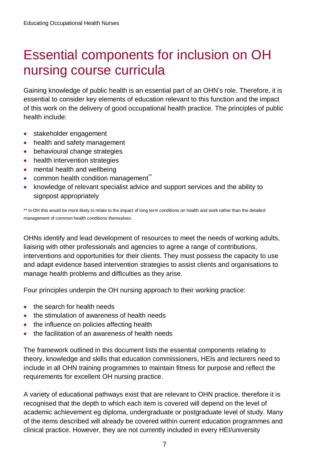## Essential components for inclusion on OH nursing course curricula

Gaining knowledge of public health is an essential part of an OHN's role. Therefore, it is essential to consider key elements of education relevant to this function and the impact of this work on the delivery of good occupational health practice. The principles of public health include:

- stakeholder engagement
- health and safety management
- behavioural change strategies
- health intervention strategies
- mental health and wellbeing
- $\bullet$  common health condition management<sup> $\hat{\ }$ </sup>
- knowledge of relevant specialist advice and support services and the ability to signpost appropriately

\*\* In OH this would be more likely to relate to the impact of long term conditions on health and work rather than the detailed management of common health conditions themselves.

OHNs identify and lead development of resources to meet the needs of working adults, liaising with other professionals and agencies to agree a range of contributions, interventions and opportunities for their clients. They must possess the capacity to use and adapt evidence based intervention strategies to assist clients and organisations to manage health problems and difficulties as they arise.

Four principles underpin the OH nursing approach to their working practice:

- the search for health needs
- the stimulation of awareness of health needs
- the influence on policies affecting health
- the facilitation of an awareness of health needs

The framework outlined in this document lists the essential components relating to theory, knowledge and skills that education commissioners, HEIs and lecturers need to include in all OHN training programmes to maintain fitness for purpose and reflect the requirements for excellent OH nursing practice.

A variety of educational pathways exist that are relevant to OHN practice, therefore it is recognised that the depth to which each item is covered will depend on the level of academic achievement eg diploma, undergraduate or postgraduate level of study. Many of the items described will already be covered within current education programmes and clinical practice. However, they are not currently included in every HEI/university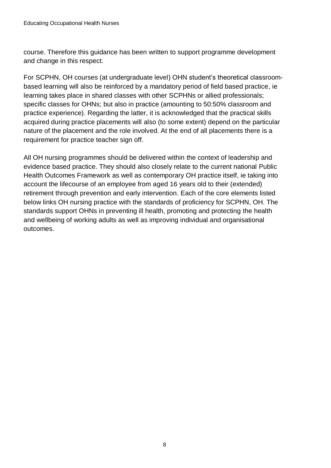course. Therefore this guidance has been written to support programme development and change in this respect.

For SCPHN, OH courses (at undergraduate level) OHN student's theoretical classroombased learning will also be reinforced by a mandatory period of field based practice, ie learning takes place in shared classes with other SCPHNs or allied professionals; specific classes for OHNs; but also in practice (amounting to 50:50% classroom and practice experience). Regarding the latter, it is acknowledged that the practical skills acquired during practice placements will also (to some extent) depend on the particular nature of the placement and the role involved. At the end of all placements there is a requirement for practice teacher sign off.

All OH nursing programmes should be delivered within the context of leadership and evidence based practice. They should also closely relate to the current national Public Health Outcomes Framework as well as contemporary OH practice itself, ie taking into account the lifecourse of an employee from aged 16 years old to their (extended) retirement through prevention and early intervention. Each of the core elements listed below links OH nursing practice with the standards of proficiency for SCPHN, OH. The standards support OHNs in preventing ill health, promoting and protecting the health and wellbeing of working adults as well as improving individual and organisational outcomes.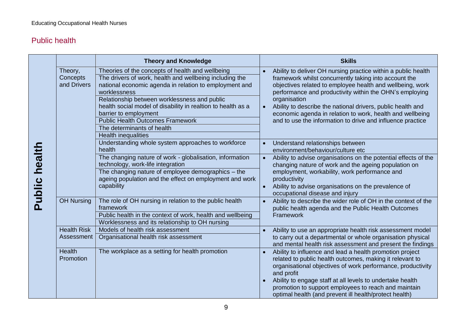#### Public health

|                      |                                    | <b>Theory and Knowledge</b>                                                                                                                                                                                                                                                                                                                                                                                                           |                        | <b>Skills</b>                                                                                                                                                                                                                                                                                                                                                                                                                                            |  |
|----------------------|------------------------------------|---------------------------------------------------------------------------------------------------------------------------------------------------------------------------------------------------------------------------------------------------------------------------------------------------------------------------------------------------------------------------------------------------------------------------------------|------------------------|----------------------------------------------------------------------------------------------------------------------------------------------------------------------------------------------------------------------------------------------------------------------------------------------------------------------------------------------------------------------------------------------------------------------------------------------------------|--|
|                      | Theory,<br>Concepts<br>and Drivers | Theories of the concepts of health and wellbeing<br>The drivers of work, health and wellbeing including the<br>national economic agenda in relation to employment and<br>worklessness<br>Relationship between worklessness and public<br>health social model of disability in realtion to health as a<br>barrier to employment<br><b>Public Health Outcomes Framework</b><br>The determinants of health<br><b>Health inequalities</b> |                        | Ability to deliver OH nursing practice within a public health<br>framework whilst concurrently taking into account the<br>objectives related to employee health and wellbeing, work<br>performance and productivity within the OHN's employing<br>organisation<br>Ability to describe the national drivers, public health and<br>economic agenda in relation to work, health and wellbeing<br>and to use the information to drive and influence practice |  |
|                      |                                    | Understanding whole system approaches to workforce<br>health                                                                                                                                                                                                                                                                                                                                                                          |                        | Understand relationships between<br>environment/behaviour/culture etc                                                                                                                                                                                                                                                                                                                                                                                    |  |
| <b>Public health</b> |                                    | The changing nature of work - globalisation, information<br>technology, work-life integration<br>The changing nature of employee demographics - the<br>ageing population and the effect on employment and work<br>capability                                                                                                                                                                                                          | $\bullet$<br>$\bullet$ | Ability to advise organisations on the potential effects of the<br>changing nature of work and the ageing population on<br>employment, workability, work performance and<br>productivity<br>Ability to advise organisations on the prevalence of<br>occupational disease and injury                                                                                                                                                                      |  |
|                      | <b>OH Nursing</b>                  | The role of OH nursing in relation to the public health<br>framework<br>Public health in the context of work, health and wellbeing<br>Worklessness and its relationship to OH nursing                                                                                                                                                                                                                                                 |                        | Ability to describe the wider role of OH in the context of the<br>public health agenda and the Public Health Outcomes<br>Framework                                                                                                                                                                                                                                                                                                                       |  |
|                      | <b>Health Risk</b><br>Assessment   | Models of health risk assessment<br>Organisational health risk assessment                                                                                                                                                                                                                                                                                                                                                             |                        | Ability to use an appropriate health risk assessment model<br>to carry out a departmental or whole organisation physical<br>and mental health risk assessment and present the findings                                                                                                                                                                                                                                                                   |  |
|                      | <b>Health</b><br>Promotion         | The workplace as a setting for health promotion                                                                                                                                                                                                                                                                                                                                                                                       | $\bullet$              | Ability to influence and lead a health promotion project<br>related to public health outcomes, making it relevant to<br>organisational objectives of work performance, productivity<br>and profit<br>Ability to engage staff at all levels to undertake health<br>promotion to support employees to reach and maintain<br>optimal health (and prevent ill health/protect health)                                                                         |  |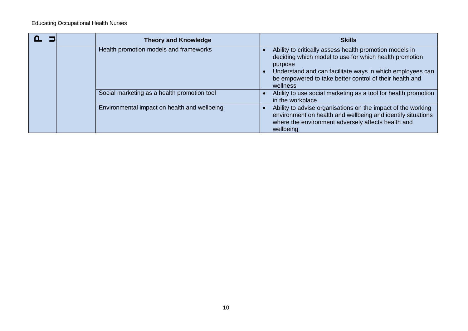|  | <b>Theory and Knowledge</b>                  | <b>Skills</b>                                                                                                                                                                                                                                                    |
|--|----------------------------------------------|------------------------------------------------------------------------------------------------------------------------------------------------------------------------------------------------------------------------------------------------------------------|
|  | Health promotion models and frameworks       | Ability to critically assess health promotion models in<br>deciding which model to use for which health promotion<br>purpose<br>Understand and can facilitate ways in which employees can<br>be empowered to take better control of their health and<br>wellness |
|  | Social marketing as a health promotion tool  | Ability to use social marketing as a tool for health promotion<br>in the workplace                                                                                                                                                                               |
|  | Environmental impact on health and wellbeing | Ability to advise organisations on the impact of the working<br>environment on health and wellbeing and identify situations<br>where the environment adversely affects health and<br>wellbeing                                                                   |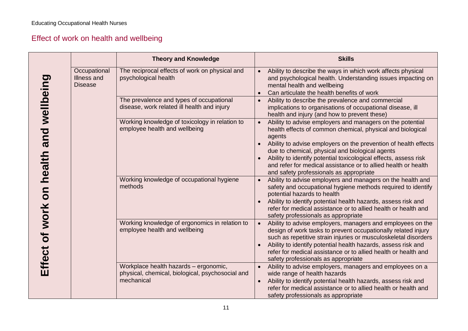### Effect of work on health and wellbeing

|                                        |                                               | <b>Theory and Knowledge</b>                                                                             | <b>Skills</b>                                                                                                                                                                                                                                                                                                                                                                                                                            |
|----------------------------------------|-----------------------------------------------|---------------------------------------------------------------------------------------------------------|------------------------------------------------------------------------------------------------------------------------------------------------------------------------------------------------------------------------------------------------------------------------------------------------------------------------------------------------------------------------------------------------------------------------------------------|
|                                        | Occupational<br>Illness and<br><b>Disease</b> | The reciprocal effects of work on physical and<br>psychological health                                  | Ability to describe the ways in which work affects physical<br>and psychological health. Understanding issues impacting on<br>mental health and wellbeing<br>Can articulate the health benefits of work                                                                                                                                                                                                                                  |
|                                        |                                               | The prevalence and types of occupational<br>disease, work related ill health and injury                 | Ability to describe the prevalence and commercial<br>implications to organisations of occupational disease, ill<br>health and injury (and how to prevent these)                                                                                                                                                                                                                                                                          |
| Effect of work on health and wellbeing |                                               | Working knowledge of toxicology in relation to<br>employee health and wellbeing                         | Ability to advise employers and managers on the potential<br>health effects of common chemical, physical and biological<br>agents<br>Ability to advise employers on the prevention of health effects<br>due to chemical, physical and biological agents<br>Ability to identify potential toxicological effects, assess risk<br>and refer for medical assistance or to allied health or health<br>and safety professionals as appropriate |
|                                        |                                               | Working knowledge of occupational hygiene<br>methods                                                    | Ability to advise employers and managers on the health and<br>safety and occupational hygiene methods required to identify<br>potential hazards to health<br>Ability to identify potential health hazards, assess risk and<br>refer for medical assistance or to allied health or health and<br>safety professionals as appropriate                                                                                                      |
|                                        |                                               | Working knowledge of ergonomics in relation to<br>employee health and wellbeing                         | Ability to advise employers, managers and employees on the<br>$\bullet$<br>design of work tasks to prevent occupationally related injury<br>such as repetitive strain injuries or musculoskeletal disorders<br>Ability to identify potential health hazards, assess risk and<br>refer for medical assistance or to allied health or health and<br>safety professionals as appropriate                                                    |
|                                        |                                               | Workplace health hazards - ergonomic,<br>physical, chemical, biological, psychosocial and<br>mechanical | Ability to advise employers, managers and employees on a<br>wide range of health hazards<br>Ability to identify potential health hazards, assess risk and<br>$\bullet$<br>refer for medical assistance or to allied health or health and<br>safety professionals as appropriate                                                                                                                                                          |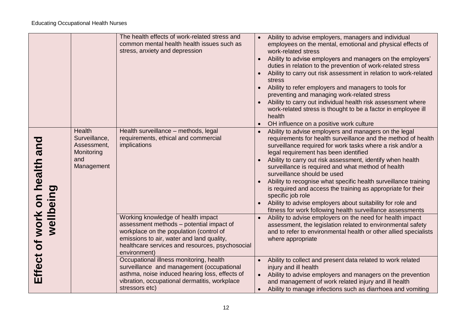|                                           |                                                                           | The health effects of work-related stress and<br>common mental health health issues such as<br>stress, anxiety and depression                                                                                                             | Ability to advise employers, managers and individual<br>$\bullet$<br>employees on the mental, emotional and physical effects of<br>work-related stress<br>Ability to advise employers and managers on the employers'<br>$\bullet$<br>duties in relation to the prevention of work-related stress<br>Ability to carry out risk assessment in relation to work-related<br>stress<br>Ability to refer employers and managers to tools for<br>preventing and managing work-related stress<br>Ability to carry out individual health risk assessment where<br>work-related stress is thought to be a factor in employee ill<br>health<br>OH influence on a positive work culture |
|-------------------------------------------|---------------------------------------------------------------------------|-------------------------------------------------------------------------------------------------------------------------------------------------------------------------------------------------------------------------------------------|-----------------------------------------------------------------------------------------------------------------------------------------------------------------------------------------------------------------------------------------------------------------------------------------------------------------------------------------------------------------------------------------------------------------------------------------------------------------------------------------------------------------------------------------------------------------------------------------------------------------------------------------------------------------------------|
| Effect of work on health and<br>wellbeing | Health<br>Surveillance,<br>Assessment,<br>Monitoring<br>and<br>Management | Health surveillance - methods, legal<br>requirements, ethical and commercial<br>implications                                                                                                                                              | Ability to advise employers and managers on the legal<br>requirements for health surveillance and the method of health<br>surveillance required for work tasks where a risk and/or a<br>legal requirement has been identified<br>Ability to carry out risk assessment, identify when health<br>surveillance is required and what method of health<br>surveillance should be used<br>Ability to recognise what specific health surveillance training<br>is required and access the training as appropriate for their<br>specific job role<br>Ability to advise employers about suitability for role and<br>fitness for work following health surveillance assessments        |
|                                           |                                                                           | Working knowledge of health impact<br>assessment methods - potential impact of<br>workplace on the population (control of<br>emissions to air, water and land quality,<br>healthcare services and resources, psychosocial<br>environment) | Ability to advise employers on the need for health impact<br>assessment, the legislation related to environmental safety<br>and to refer to environmental health or other allied specialists<br>where appropriate                                                                                                                                                                                                                                                                                                                                                                                                                                                           |
|                                           |                                                                           | Occupational illness monitoring, health<br>surveillance and management (occupational<br>asthma, noise induced hearing loss, effects of<br>vibration, occupational dermatitis, workplace<br>stressors etc)                                 | Ability to collect and present data related to work related<br>$\bullet$<br>injury and ill health<br>Ability to advise employers and managers on the prevention<br>$\bullet$<br>and management of work related injury and ill health<br>Ability to manage infections such as diarrhoea and vomiting<br>$\bullet$                                                                                                                                                                                                                                                                                                                                                            |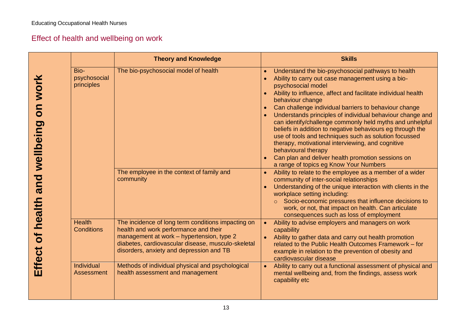### Effect of health and wellbeing on work

|                                              |                                    | <b>Theory and Knowledge</b>                                                                                                                                                                                                                | <b>Skills</b>                                                                                                                                                                                                                                                                                                                                                                                                                                                                                                                                                                                                                                                                                         |
|----------------------------------------------|------------------------------------|--------------------------------------------------------------------------------------------------------------------------------------------------------------------------------------------------------------------------------------------|-------------------------------------------------------------------------------------------------------------------------------------------------------------------------------------------------------------------------------------------------------------------------------------------------------------------------------------------------------------------------------------------------------------------------------------------------------------------------------------------------------------------------------------------------------------------------------------------------------------------------------------------------------------------------------------------------------|
| work<br>$\overline{\mathsf{S}}$<br>wellbeing | Bio-<br>psychosocial<br>principles | The bio-psychosocial model of health                                                                                                                                                                                                       | Understand the bio-psychosocial pathways to health<br>Ability to carry out case management using a bio-<br>psychosocial model<br>Ability to influence, affect and facilitate individual health<br>behaviour change<br>Can challenge individual barriers to behaviour change<br>Understands principles of individual behaviour change and<br>can identify/challenge commonly held myths and unhelpful<br>beliefs in addition to negative behaviours eg through the<br>use of tools and techniques such as solution focussed<br>therapy, motivational interviewing, and cognitive<br>behavioural therapy<br>Can plan and deliver health promotion sessions on<br>a range of topics eg Know Your Numbers |
| and<br>health                                |                                    | The employee in the context of family and<br>community                                                                                                                                                                                     | Ability to relate to the employee as a member of a wider<br>community of inter-social relationships<br>Understanding of the unique interaction with clients in the<br>workplace setting including:<br>Socio-economic pressures that influence decisions to<br>work, or not, that impact on health. Can articulate<br>consequences such as loss of employment                                                                                                                                                                                                                                                                                                                                          |
| $\overline{\sigma}$<br>Effect                | <b>Health</b><br><b>Conditions</b> | The incidence of long term conditions impacting on<br>health and work performance and their<br>management at work - hypertension, type 2<br>diabetes, cardiovascular disease, musculo-skeletal<br>disorders, anxiety and depression and TB | Ability to advise employers and managers on work<br>capability<br>Ability to gather data and carry out health promotion<br>related to the Public Health Outcomes Framework - for<br>example in relation to the prevention of obesity and<br>cardiovascular disease                                                                                                                                                                                                                                                                                                                                                                                                                                    |
|                                              | <b>Individual</b><br>Assessment    | Methods of individual physical and psychological<br>health assessment and management                                                                                                                                                       | Ability to carry out a functional assessment of physical and<br>mental wellbeing and, from the findings, assess work<br>capability etc                                                                                                                                                                                                                                                                                                                                                                                                                                                                                                                                                                |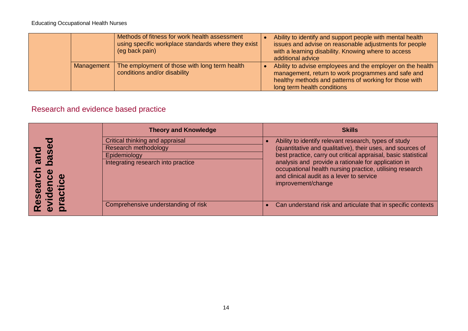|            | Methods of fitness for work health assessment<br>using specific workplace standards where they exist<br>(eg back pain) | Ability to identify and support people with mental health<br>issues and advise on reasonable adjustments for people<br>with a learning disability. Knowing where to access<br>additional advice           |
|------------|------------------------------------------------------------------------------------------------------------------------|-----------------------------------------------------------------------------------------------------------------------------------------------------------------------------------------------------------|
| Management | The employment of those with long term health<br>conditions and/or disability                                          | Ability to advise employees and the employer on the health<br>management, return to work programmes and safe and<br>healthy methods and patterns of working for those with<br>long term health conditions |

### Research and evidence based practice

| <b>Theory and Knowledge</b>                                                                                   | <b>Skills</b>                                                                                                                                                                                                                                                                                                                                                              |
|---------------------------------------------------------------------------------------------------------------|----------------------------------------------------------------------------------------------------------------------------------------------------------------------------------------------------------------------------------------------------------------------------------------------------------------------------------------------------------------------------|
| Critical thinking and appraisal<br>Research methodology<br>Epidemiology<br>Integrating research into practice | Ability to identify relevant research, types of study<br>(quantitative and qualitative), their uses, and sources of<br>best practice, carry out critical appraisal, basic statistical<br>analysis and provide a rationale for application in<br>occupational health nursing practice, utilising research<br>and clinical audit as a lever to service<br>improvement/change |
| Comprehensive understanding of risk                                                                           | Can understand risk and articulate that in specific contexts                                                                                                                                                                                                                                                                                                               |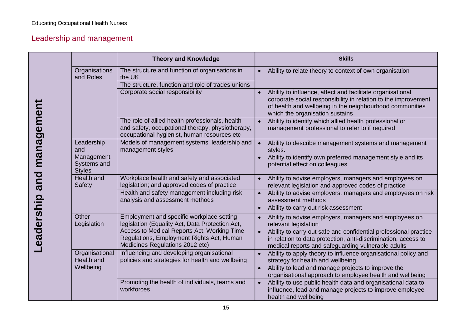### Leadership and management

|            |                                                                 | <b>Theory and Knowledge</b>                                                                                                                                                                                                 | <b>Skills</b>                                                                                                                                                                                                                                                              |
|------------|-----------------------------------------------------------------|-----------------------------------------------------------------------------------------------------------------------------------------------------------------------------------------------------------------------------|----------------------------------------------------------------------------------------------------------------------------------------------------------------------------------------------------------------------------------------------------------------------------|
|            | Organisations<br>and Roles                                      | The structure and function of organisations in<br>the UK<br>The structure, function and role of trades unions                                                                                                               | Ability to relate theory to context of own organisation                                                                                                                                                                                                                    |
|            |                                                                 | Corporate social responsibility                                                                                                                                                                                             | Ability to influence, affect and facilitate organisational<br>corporate social responsibility in relation to the improvement<br>of health and wellbeing in the neighbourhood communities<br>which the organisation sustains                                                |
|            |                                                                 | The role of allied health professionals, health<br>and safety, occupational therapy, physiotherapy,<br>occupational hygienist, human resources etc                                                                          | Ability to identify which allied health professional or<br>$\bullet$<br>management professional to refer to if required                                                                                                                                                    |
| management | Leadership<br>and<br>Management<br>Systems and<br><b>Styles</b> | Models of management systems, leadership and<br>management styles                                                                                                                                                           | Ability to describe management systems and management<br>$\bullet$<br>styles.<br>Ability to identify own preferred management style and its<br>potential effect on colleagues                                                                                              |
| and        | Health and<br>Safety                                            | Workplace health and safety and associated<br>legislation; and approved codes of practice                                                                                                                                   | Ability to advise employers, managers and employees on<br>relevant legislation and approved codes of practice                                                                                                                                                              |
| eadership- |                                                                 | Health and safety management including risk<br>analysis and assessment methods                                                                                                                                              | Ability to advise employers, managers and employees on risk<br>assessment methods<br>Ability to carry out risk assessment                                                                                                                                                  |
|            | Other<br>Legislation                                            | Employment and specific workplace setting<br>legislation (Equality Act, Data Protection Act,<br>Access to Medical Reports Act, Working Time<br>Regulations, Employment Rights Act, Human<br>Medicines Regulations 2012 etc) | Ability to advise employers, managers and employees on<br>relevant legislation<br>Ability to carry out safe and confidential professional practice<br>in relation to data protection, anti-discrimination, access to<br>medical reports and safeguarding vulnerable adults |
|            | Organisational<br>Health and<br>Wellbeing                       | Influencing and developing organisational<br>policies and strategies for health and wellbeing                                                                                                                               | Ability to apply theory to influence organisational policy and<br>strategy for health and wellbeing<br>Ability to lead and manage projects to improve the<br>organisational approach to employee health and wellbeing                                                      |
|            |                                                                 | Promoting the health of individuals, teams and<br>workforces                                                                                                                                                                | Ability to use public health data and organisational data to<br>$\bullet$<br>influence, lead and manage projects to improve employee<br>health and wellbeing                                                                                                               |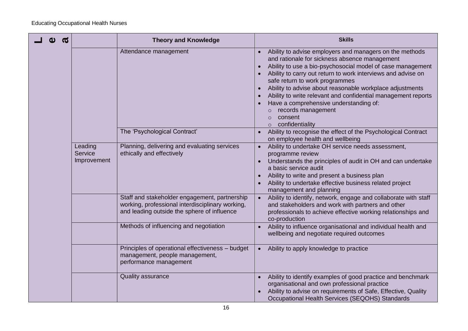| $\boldsymbol{\sigma}$ |                                   | <b>Theory and Knowledge</b>                                                                                                                      | <b>Skills</b>                                                                                                                                                                                                                                                                                                                                                                                                                                                                                                               |
|-----------------------|-----------------------------------|--------------------------------------------------------------------------------------------------------------------------------------------------|-----------------------------------------------------------------------------------------------------------------------------------------------------------------------------------------------------------------------------------------------------------------------------------------------------------------------------------------------------------------------------------------------------------------------------------------------------------------------------------------------------------------------------|
|                       |                                   | Attendance management                                                                                                                            | Ability to advise employers and managers on the methods<br>and rationale for sickness absence management<br>Ability to use a bio-psychosocial model of case management<br>Ability to carry out return to work interviews and advise on<br>safe return to work programmes<br>Ability to advise about reasonable workplace adjustments<br>Ability to write relevant and confidential management reports<br>Have a comprehensive understanding of:<br>records management<br>consent<br>$\Omega$<br>confidentiality<br>$\Omega$ |
|                       |                                   | The 'Psychological Contract'                                                                                                                     | Ability to recognise the effect of the Psychological Contract<br>$\bullet$<br>on employee health and wellbeing                                                                                                                                                                                                                                                                                                                                                                                                              |
|                       | Leading<br>Service<br>Improvement | Planning, delivering and evaluating services<br>ethically and effectively                                                                        | Ability to undertake OH service needs assessment,<br>$\bullet$<br>programme review<br>Understands the principles of audit in OH and can undertake<br>a basic service audit<br>Ability to write and present a business plan<br>Ability to undertake effective business related project<br>management and planning                                                                                                                                                                                                            |
|                       |                                   | Staff and stakeholder engagement, partnership<br>working, professional interdisciplinary working,<br>and leading outside the sphere of influence | Ability to identify, network, engage and collaborate with staff<br>$\bullet$<br>and stakeholders and work with partners and other<br>professionals to achieve effective working relationships and<br>co-production                                                                                                                                                                                                                                                                                                          |
|                       |                                   | Methods of influencing and negotiation                                                                                                           | Ability to influence organisational and individual health and<br>wellbeing and negotiate required outcomes                                                                                                                                                                                                                                                                                                                                                                                                                  |
|                       |                                   | Principles of operational effectiveness - budget<br>management, people management,<br>performance management                                     | Ability to apply knowledge to practice<br>$\bullet$                                                                                                                                                                                                                                                                                                                                                                                                                                                                         |
|                       |                                   | <b>Quality assurance</b>                                                                                                                         | Ability to identify examples of good practice and benchmark<br>organisational and own professional practice<br>Ability to advise on requirements of Safe, Effective, Quality<br>Occupational Health Services (SEQOHS) Standards                                                                                                                                                                                                                                                                                             |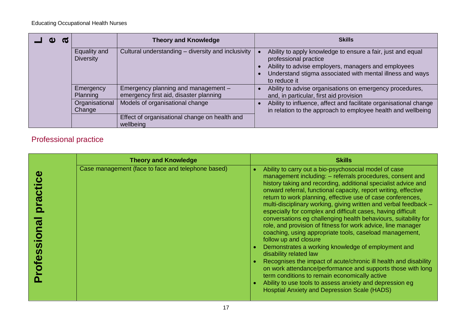| $\bullet$ |                                  | <b>Theory and Knowledge</b>                                                   | <b>Skills</b>                                                                                                                                                                                                            |
|-----------|----------------------------------|-------------------------------------------------------------------------------|--------------------------------------------------------------------------------------------------------------------------------------------------------------------------------------------------------------------------|
|           | Equality and<br><b>Diversity</b> | Cultural understanding - diversity and inclusivity                            | Ability to apply knowledge to ensure a fair, just and equal<br>professional practice<br>Ability to advise employers, managers and employees<br>Understand stigma associated with mental illness and ways<br>to reduce it |
|           | Emergency<br>Planning            | Emergency planning and management -<br>emergency first aid, disaster planning | Ability to advise organisations on emergency procedures,<br>and, in particular, first aid provision                                                                                                                      |
|           | Organisational<br>Change         | Models of organisational change                                               | Ability to influence, affect and facilitate organisational change<br>in relation to the approach to employee health and wellbeing                                                                                        |
|           |                                  | Effect of organisational change on health and<br>wellbeing                    |                                                                                                                                                                                                                          |

### Professional practice

| <b>Theory and Knowledge</b>                        | <b>Skills</b>                                                                                                                                                                                                                                                                                                                                                                                                                                                                                                                                                                                                                                                                                                                                                                                                                                                                                                                                                                                                                                                            |
|----------------------------------------------------|--------------------------------------------------------------------------------------------------------------------------------------------------------------------------------------------------------------------------------------------------------------------------------------------------------------------------------------------------------------------------------------------------------------------------------------------------------------------------------------------------------------------------------------------------------------------------------------------------------------------------------------------------------------------------------------------------------------------------------------------------------------------------------------------------------------------------------------------------------------------------------------------------------------------------------------------------------------------------------------------------------------------------------------------------------------------------|
| Case management (face to face and telephone based) | Ability to carry out a bio-psychosocial model of case<br>management including: - referrals procedures, consent and<br>history taking and recording, additional specialist advice and<br>onward referral, functional capacity, report writing, effective<br>return to work planning, effective use of case conferences,<br>multi-disciplinary working, giving written and verbal feedback -<br>especially for complex and difficult cases, having difficult<br>conversations eg challenging health behaviours, suitability for<br>role, and provision of fitness for work advice, line manager<br>coaching, using appropriate tools, caseload management,<br>follow up and closure<br>Demonstrates a working knowledge of employment and<br>disability related law<br>Recognises the impact of acute/chronic ill health and disability<br>on work attendance/performance and supports those with long<br>term conditions to remain economically active<br>Ability to use tools to assess anxiety and depression eg<br><b>Hosptial Anxiety and Depression Scale (HADS)</b> |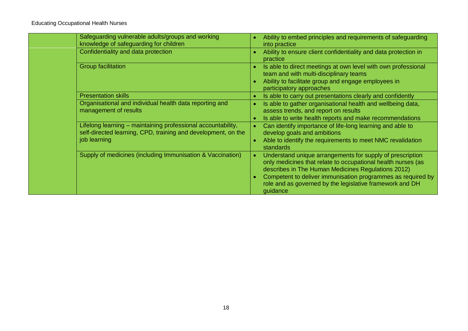| Safeguarding vulnerable adults/groups and working<br>knowledge of safeguarding for children                                                   |           | Ability to embed principles and requirements of safeguarding<br>into practice                                                                                                                                                                                                                                          |
|-----------------------------------------------------------------------------------------------------------------------------------------------|-----------|------------------------------------------------------------------------------------------------------------------------------------------------------------------------------------------------------------------------------------------------------------------------------------------------------------------------|
| Confidentiality and data protection                                                                                                           |           | Ability to ensure client confidentiality and data protection in<br>practice                                                                                                                                                                                                                                            |
| Group facilitation                                                                                                                            |           | Is able to direct meetings at own level with own professional<br>team and with multi-disciplinary teams<br>Ability to facilitate group and engage employees in<br>participatory approaches                                                                                                                             |
| <b>Presentation skills</b>                                                                                                                    | $\bullet$ | Is able to carry out presentations clearly and confidently                                                                                                                                                                                                                                                             |
| Organisational and individual health data reporting and<br>management of results                                                              |           | Is able to gather organisational health and wellbeing data,<br>assess trends, and report on results<br>Is able to write health reports and make recommendations                                                                                                                                                        |
| Lifelong learning - maintaining professional accountability,<br>self-directed learning, CPD, training and development, on the<br>job learning |           | Can identify importance of life-long learning and able to<br>develop goals and ambitions<br>Able to identify the requirements to meet NMC revalidation<br>standards                                                                                                                                                    |
| Supply of medicines (including Immunisation & Vaccination)                                                                                    |           | Understand unique arrangements for supply of prescription<br>only medicines that relate to occupational health nurses (as<br>describes in The Human Medicines Regulations 2012)<br>Competent to deliver immunisation programmes as required by<br>role and as governed by the legislative framework and DH<br>guidance |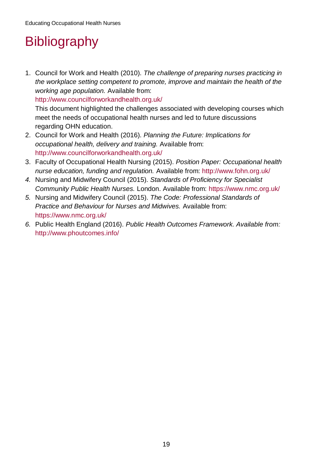# <span id="page-18-0"></span>**Bibliography**

1. Council for Work and Health (2010). *The challenge of preparing nurses practicing in the workplace setting competent to promote, improve and maintain the health of the working age population.* Available from:

<http://www.councilforworkandhealth.org.uk/>

This document highlighted the challenges associated with developing courses which meet the needs of occupational health nurses and led to future discussions regarding OHN education.

- 2. Council for Work and Health (2016). *Planning the Future: Implications for occupational health, delivery and training.* Available from: <http://www.councilforworkandhealth.org.uk/>
- 3. Faculty of Occupational Health Nursing (2015). *Position Paper: Occupational health nurse education, funding and regulation.* Available from: <http://www.fohn.org.uk/>
- *4.* Nursing and Midwifery Council (2015). *Standards of Proficiency for Specialist Community Public Health Nurses.* London. Available from:<https://www.nmc.org.uk/>
- *5.* Nursing and Midwifery Council (2015). *The Code: Professional Standards of Practice and Behaviour for Nurses and Midwives.* Available from: <https://www.nmc.org.uk/>
- <span id="page-18-1"></span>*6.* Public Health England (2016). *Public Health Outcomes Framework. Available from:* <http://www.phoutcomes.info/>